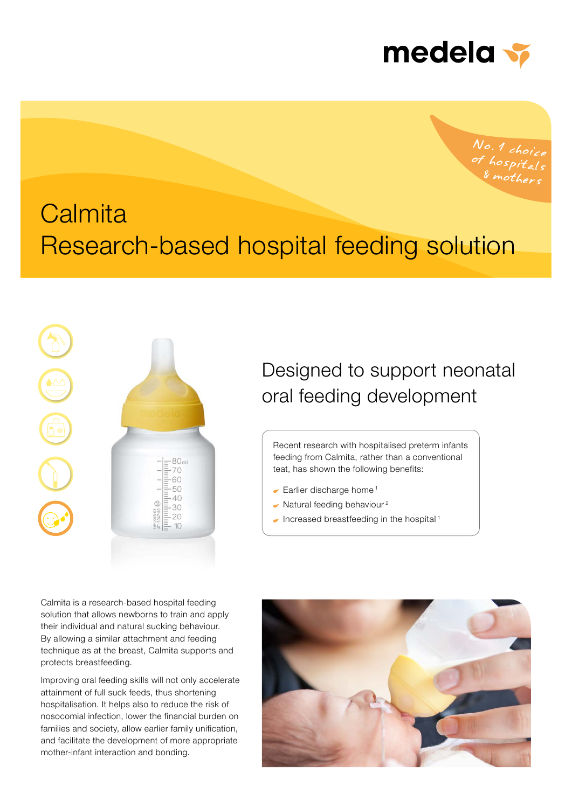

No.1 choice<br>of hospitals<br>& mothers

# **Calmita** Research-based hospital feeding solution



Designed to support neonatal oral feeding development

Recent research with hospitalised preterm infants feeding from Calmita, rather than a conventional teat, has shown the following benefits:

- $\blacktriangleright$  Earlier discharge home<sup>1</sup>
- $\blacktriangleright$  Natural feeding behaviour<sup>2</sup>
- $\blacktriangleright$  Increased breastfeeding in the hospital<sup>1</sup>

Calmita is a research-based hospital feeding solution that allows newborns to train and apply their individual and natural sucking behaviour. By allowing a similar attachment and feeding technique as at the breast, Calmita supports and protects breastfeeding.

Improving oral feeding skills will not only accelerate attainment of full suck feeds, thus shortening hospitalisation. It helps also to reduce the risk of nosocomial infection, lower the financial burden on families and society, allow earlier family unification, and facilitate the development of more appropriate mother-infant interaction and bonding.